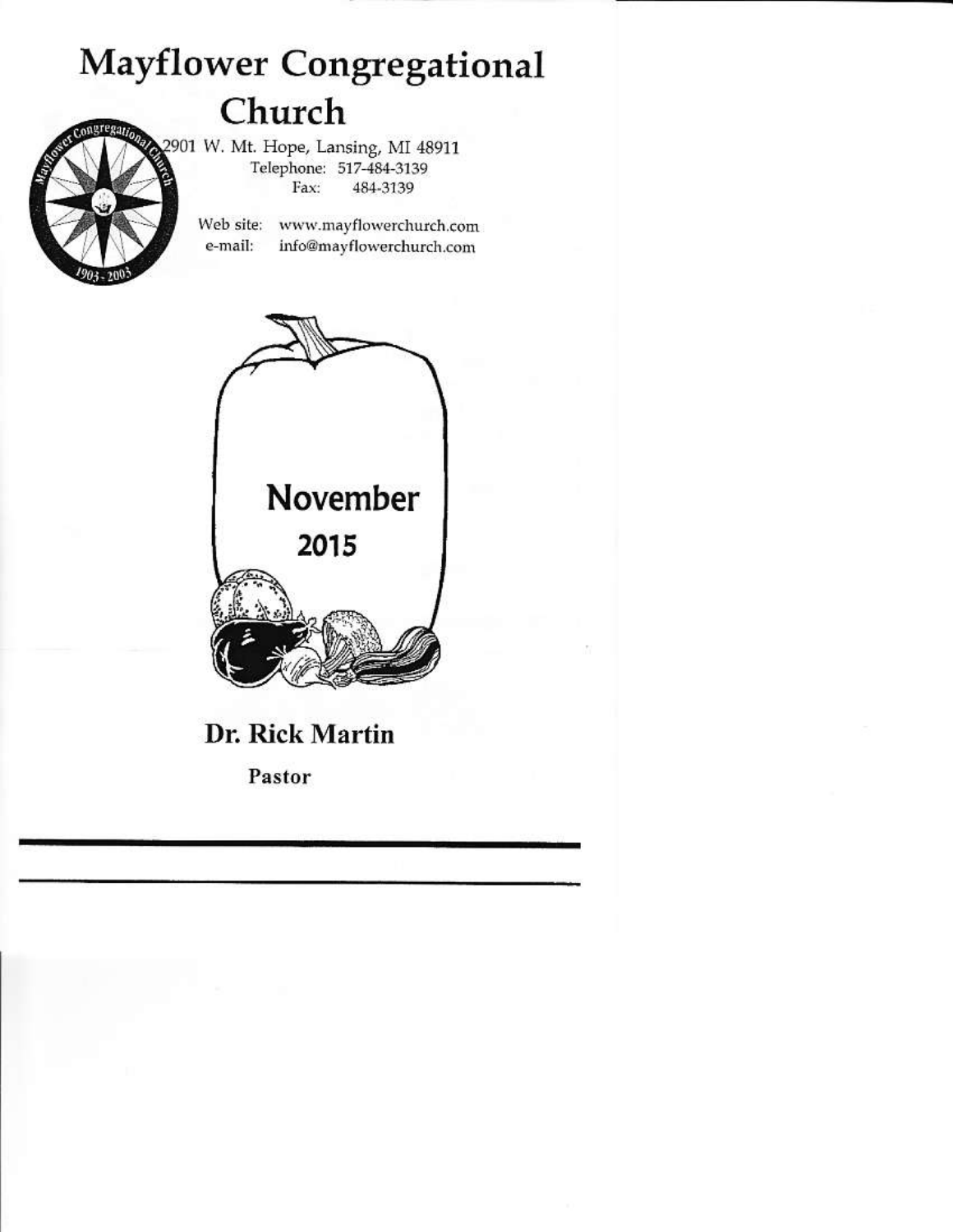# **Mayflower Congregational** Church

2901 W. Mt. Hope, Lansing, MI 48911 Telephone: 517-484-3139 Fax: 484-3139

> Web site: www.mayflowerchurch.com e-mail: info@mayflowerchurch.com



## Dr. Rick Martin

Pastor

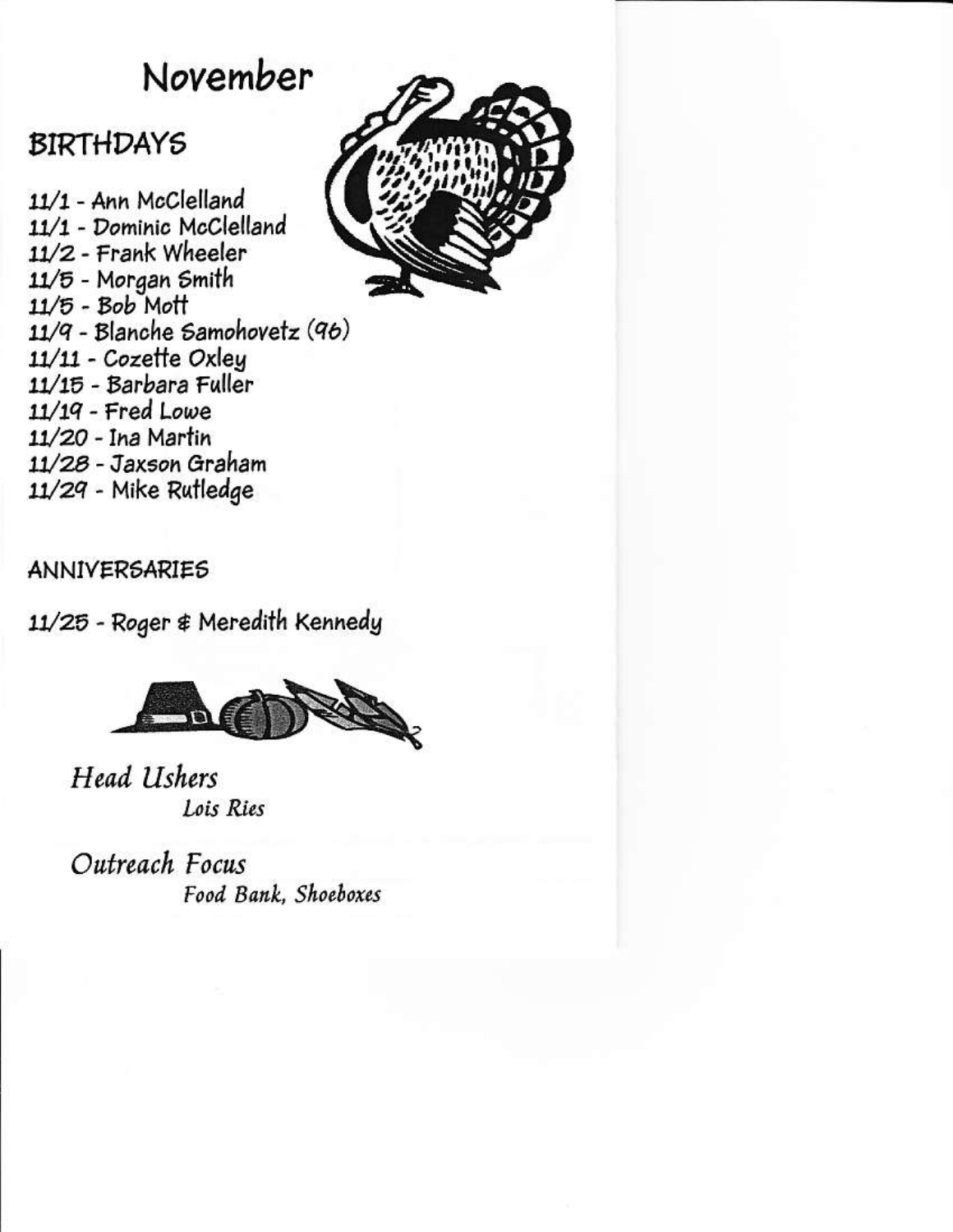# November

## **BIRTHDAYS**

11/1 - Ann McClelland 11/1 - Dominic McClelland 11/2 - Frank Wheeler 11/5 - Morgan Smith  $11/5 - Bob$  Mott  $11/9$  - Blanche Samohovetz (96) 11/11 - Cozette Oxley 11/15 - Barbara Fuller  $11/19$  - Fred Lowe 11/20 - Ina Martin 11/28 - Jaxson Graham 11/29 - Mike Rutledge



## **ANNIVERSARIES**

11/25 - Roger & Meredith Kennedy



Head Ushers Lois Ries

Outreach Focus Food Bank, Shoeboxes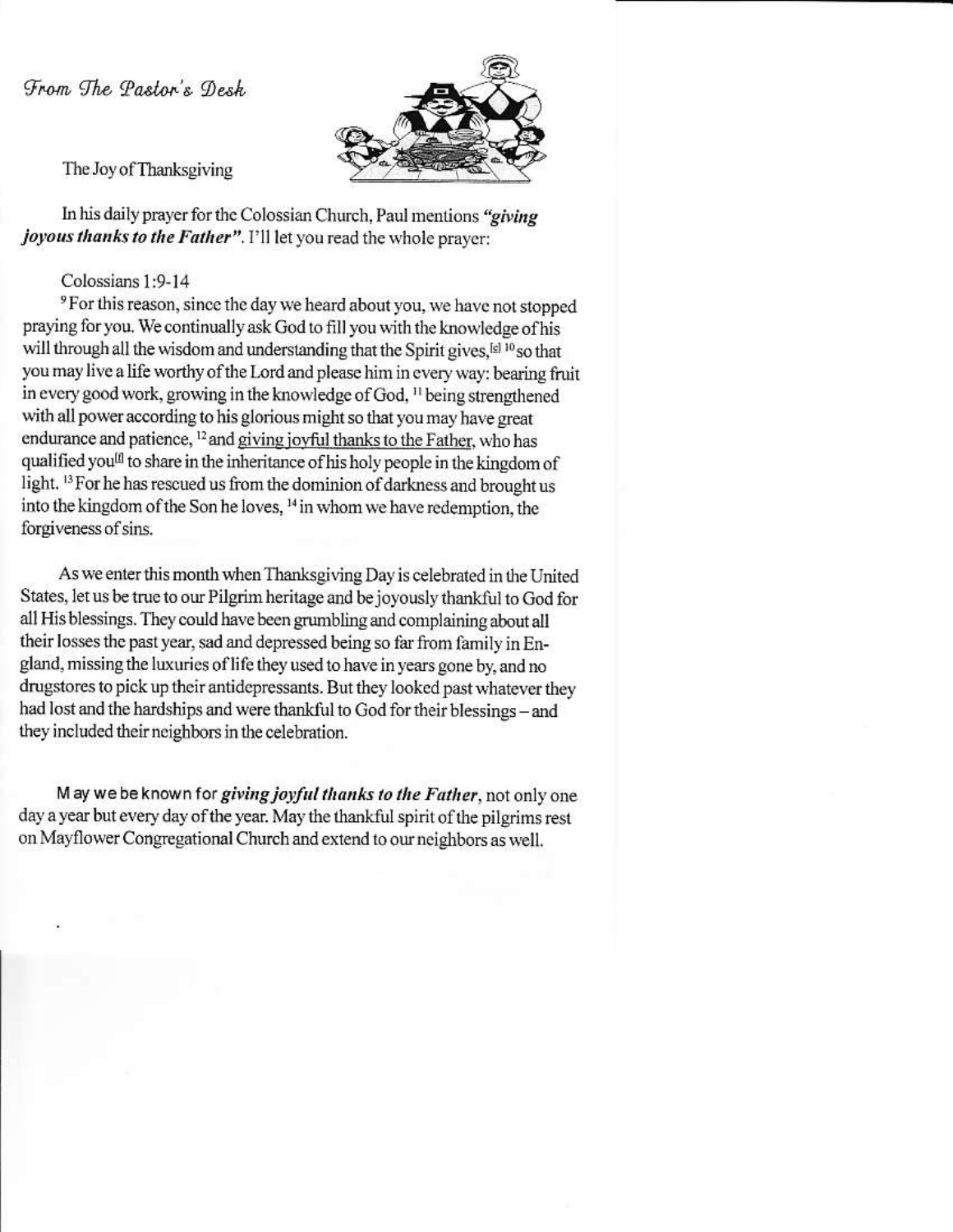From The Pastor's Desk



The Joy of Thanksgiving

In his daily prayer for the Colossian Church, Paul mentions "giving *joyous thanks to the Father"*. I'll let you read the whole prayer:

Colossians 1:9-14

<sup>9</sup> For this reason, since the day we heard about you, we have not stopped praying for you. We continually ask God to fill you with the knowledge of his will through all the wisdom and understanding that the Spirit gives, [6] 10 so that you may live a life worthy of the Lord and please him in every way: bearing fruit in every good work, growing in the knowledge of God, <sup>11</sup> being strengthened with all power according to his glorious might so that you may have great endurance and patience, <sup>12</sup> and giving joyful thanks to the Father, who has qualified you<sup>[1]</sup> to share in the inheritance of his holy people in the kingdom of light. <sup>13</sup> For he has rescued us from the dominion of darkness and brought us into the kingdom of the Son he loves, <sup>14</sup> in whom we have redemption, the forgiveness of sins.

As we enter this month when Thanksgiving Day is celebrated in the United States, let us be true to our Pilgrim heritage and be joyously thankful to God for all His blessings. They could have been grumbling and complaining about all their losses the past year, sad and depressed being so far from family in England, missing the luxuries of life they used to have in years gone by, and no drugstores to pick up their antidepressants. But they looked past whatever they had lost and the hardships and were thankful to God for their blessings - and they included their neighbors in the celebration.

May we be known for giving joyful thanks to the Father, not only one day a year but every day of the year. May the thankful spirit of the pilgrims rest on Mayflower Congregational Church and extend to our neighbors as well.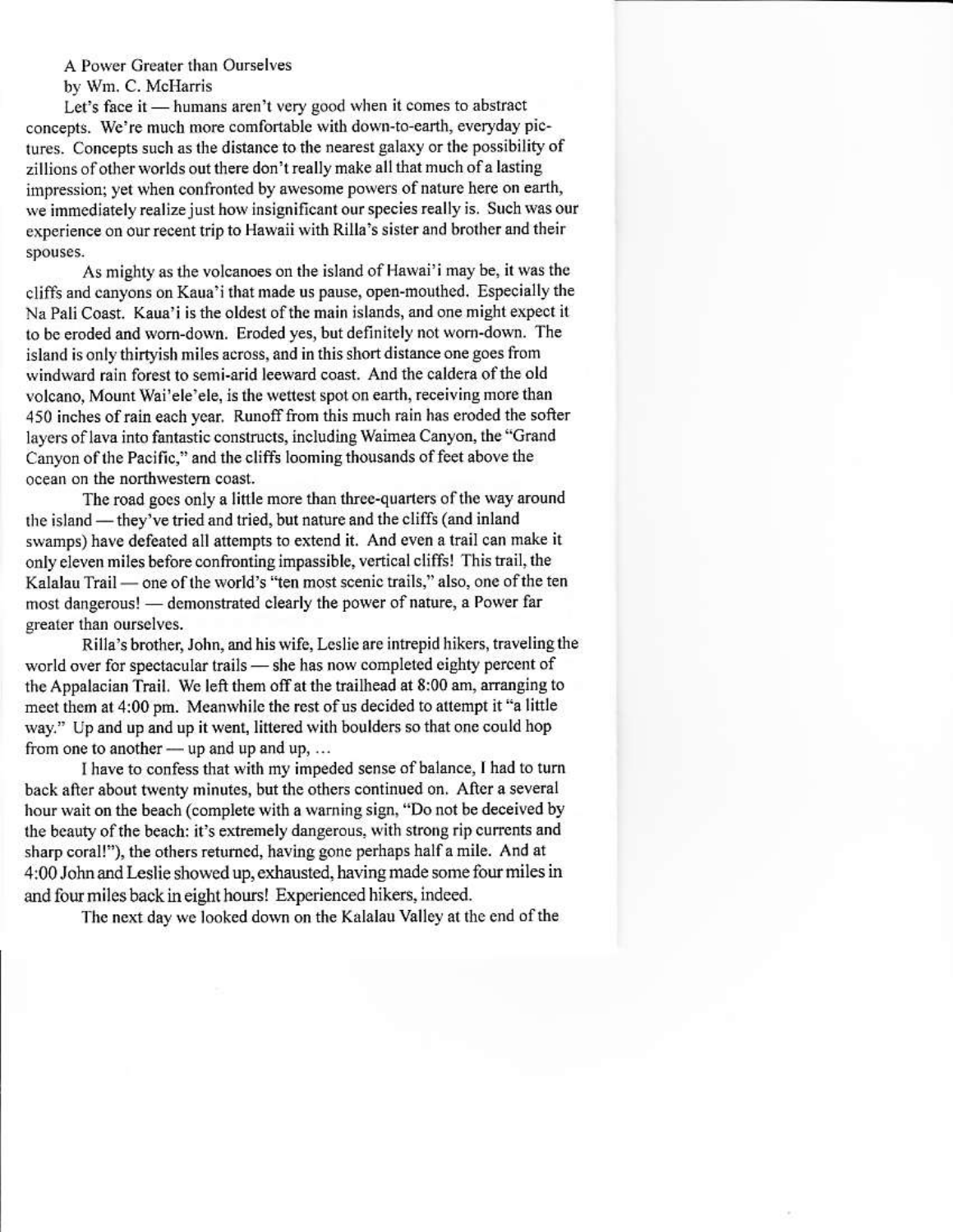A Power Greater than Ourselves by Wm. C. McHarris

Let's face it — humans aren't very good when it comes to abstract concepts. We're much more comfortable with down-to-earth, everyday pictures. Concepts such as the distance to the nearest galaxy or the possibility of zillions of other worlds out there don't really make all that much of a lasting impression; yet when confronted by awesome powers of nature here on earth. we immediately realize just how insignificant our species really is. Such was our experience on our recent trip to Hawaii with Rilla's sister and brother and their spouses.

As mighty as the volcanoes on the island of Hawai'i may be, it was the cliffs and canyons on Kaua'i that made us pause, open-mouthed. Especially the Na Pali Coast. Kaua'i is the oldest of the main islands, and one might expect it to be eroded and worn-down. Eroded yes, but definitely not worn-down. The island is only thirtyish miles across, and in this short distance one goes from windward rain forest to semi-arid leeward coast. And the caldera of the old volcano, Mount Wai'ele'ele, is the wettest spot on earth, receiving more than 450 inches of rain each year. Runoff from this much rain has eroded the softer layers of lava into fantastic constructs, including Waimea Canyon, the "Grand Canyon of the Pacific," and the cliffs looming thousands of feet above the ocean on the northwestern coast.

The road goes only a little more than three-quarters of the way around the island - they've tried and tried, but nature and the cliffs (and inland swamps) have defeated all attempts to extend it. And even a trail can make it only eleven miles before confronting impassible, vertical cliffs! This trail, the Kalalau Trail - one of the world's "ten most scenic trails," also, one of the ten most dangerous! - demonstrated clearly the power of nature, a Power far greater than ourselves.

Rilla's brother, John, and his wife, Leslie are intrepid hikers, traveling the world over for spectacular trails - she has now completed eighty percent of the Appalacian Trail. We left them off at the trailhead at 8:00 am, arranging to meet them at 4:00 pm. Meanwhile the rest of us decided to attempt it "a little way." Up and up and up it went, littered with boulders so that one could hop from one to another — up and up and up, ...

I have to confess that with my impeded sense of balance, I had to turn back after about twenty minutes, but the others continued on. After a several hour wait on the beach (complete with a warning sign, "Do not be deceived by the beauty of the beach: it's extremely dangerous, with strong rip currents and sharp coral!"), the others returned, having gone perhaps half a mile. And at 4:00 John and Leslie showed up, exhausted, having made some four miles in and four miles back in eight hours! Experienced hikers, indeed.

The next day we looked down on the Kalalau Valley at the end of the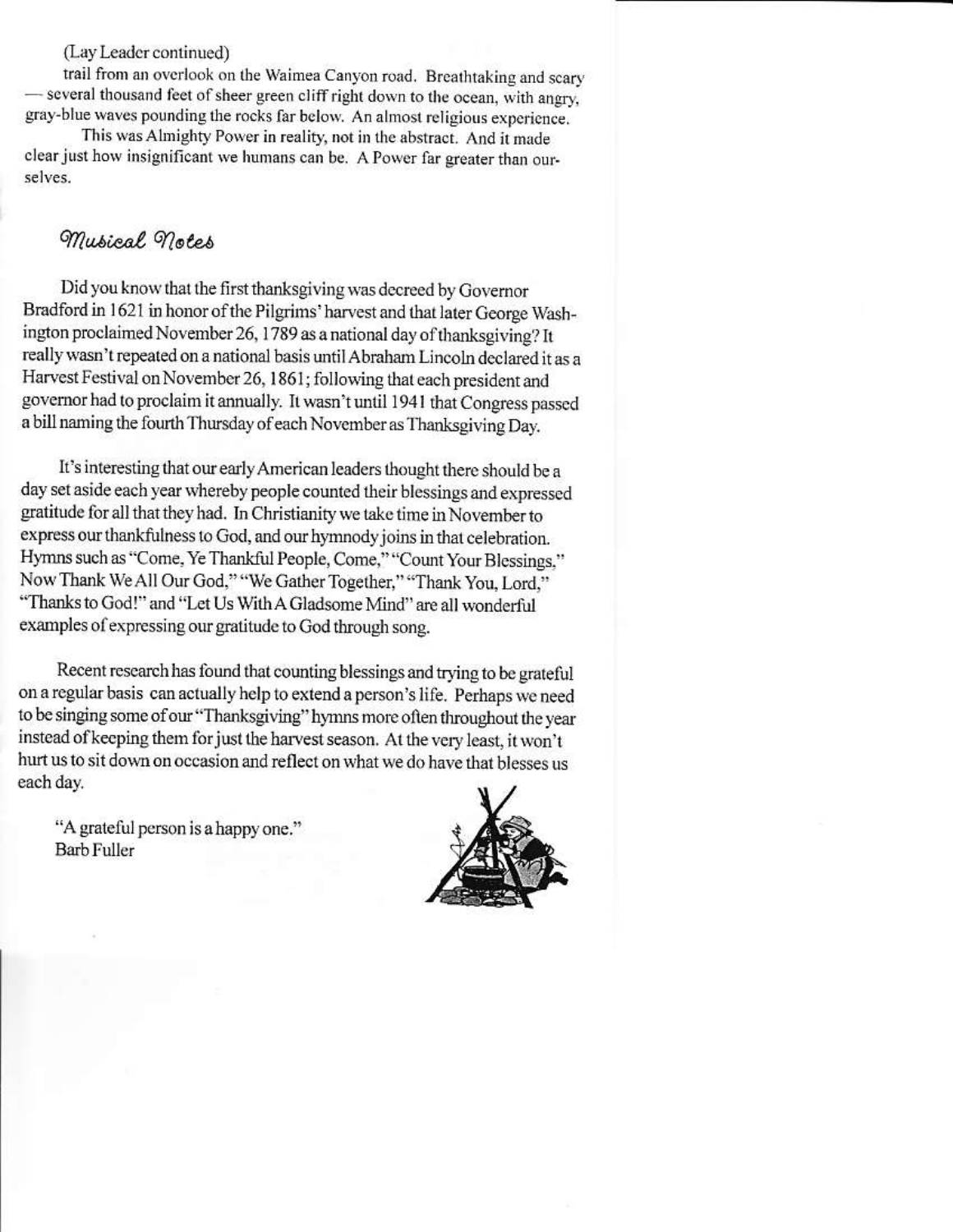(Lay Leader continued)

trail from an overlook on the Waimea Canyon road. Breathtaking and scary - several thousand feet of sheer green cliff right down to the ocean, with angry, gray-blue waves pounding the rocks far below. An almost religious experience,

This was Almighty Power in reality, not in the abstract. And it made clear just how insignificant we humans can be. A Power far greater than ourselves.

### Musical notes

Did you know that the first thanksgiving was decreed by Governor Bradford in 1621 in honor of the Pilgrims' harvest and that later George Washington proclaimed November 26, 1789 as a national day of thanksgiving? It really wasn't repeated on a national basis until Abraham Lincoln declared it as a Harvest Festival on November 26, 1861; following that each president and governor had to proclaim it annually. It wasn't until 1941 that Congress passed a bill naming the fourth Thursday of each November as Thanksgiving Day.

It's interesting that our early American leaders thought there should be a day set aside each year whereby people counted their blessings and expressed gratitude for all that they had. In Christianity we take time in November to express our thankfulness to God, and our hymnody joins in that celebration. Hymns such as "Come, Ye Thankful People, Come," "Count Your Blessings," Now Thank We All Our God," "We Gather Together," "Thank You, Lord," "Thanks to God!" and "Let Us With A Gladsome Mind" are all wonderful examples of expressing our gratitude to God through song.

Recent research has found that counting blessings and trying to be grateful on a regular basis can actually help to extend a person's life. Perhaps we need to be singing some of our "Thanksgiving" hymns more often throughout the year instead of keeping them for just the harvest season. At the very least, it won't hurt us to sit down on occasion and reflect on what we do have that blesses us each day.

"A grateful person is a happy one." **Barb Fuller** 

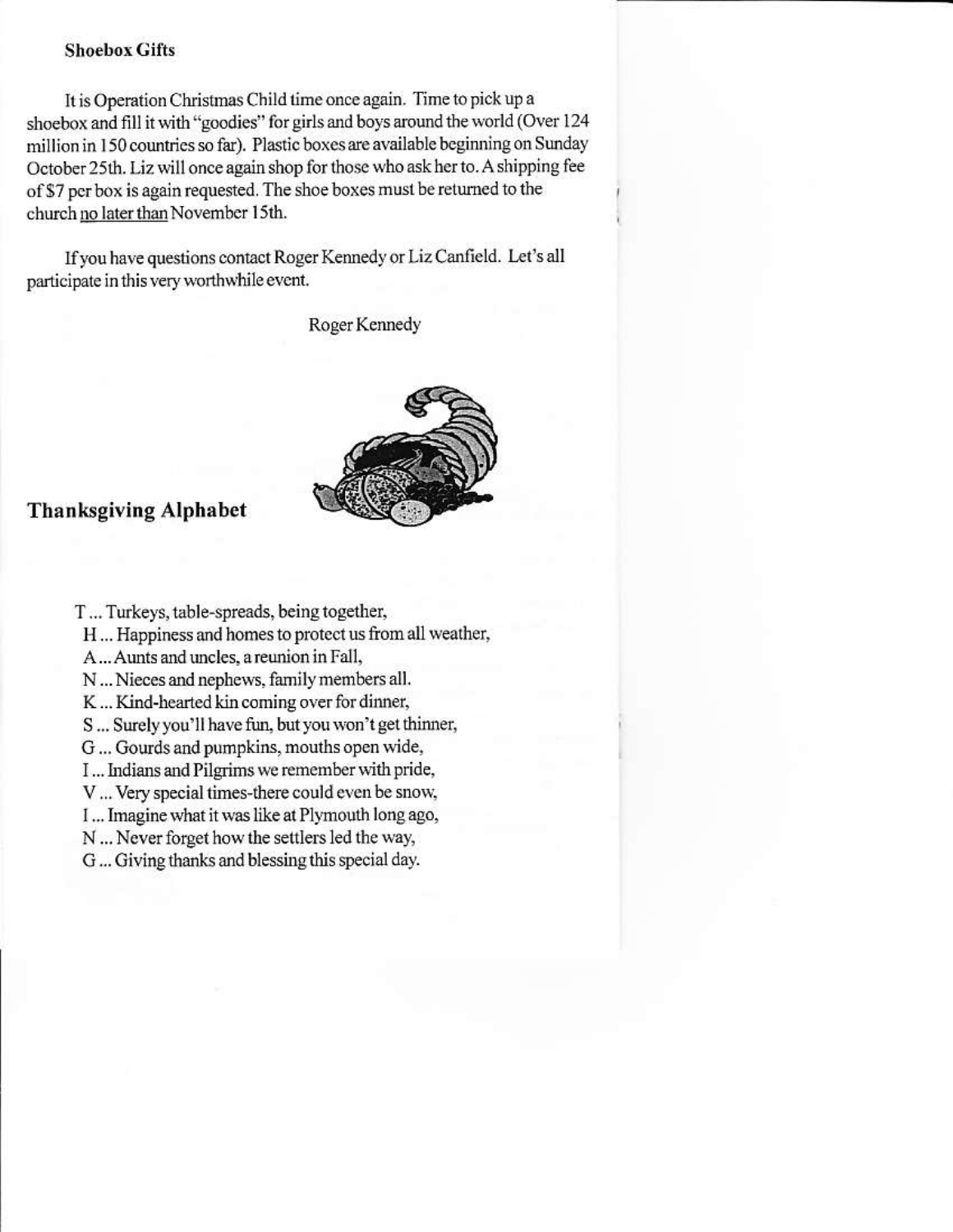#### **Shoebox Gifts**

It is Operation Christmas Child time once again. Time to pick up a shoebox and fill it with "goodies" for girls and boys around the world (Over 124 million in 150 countries so far). Plastic boxes are available beginning on Sunday October 25th. Liz will once again shop for those who ask her to. A shipping fee of \$7 per box is again requested. The shoe boxes must be returned to the church no later than November 15th.

If you have questions contact Roger Kennedy or Liz Canfield. Let's all participate in this very worthwhile event.

Roger Kennedy



#### **Thanksgiving Alphabet**

- T... Turkeys, table-spreads, being together,
	- H... Happiness and homes to protect us from all weather,
	- A... Aunts and uncles, a reunion in Fall,
	- N ... Nieces and nephews, family members all.
	- K ... Kind-hearted kin coming over for dinner,
	- S ... Surely you'll have fun, but you won't get thinner,
	- G ... Gourds and pumpkins, mouths open wide,
	- I... Indians and Pilgrims we remember with pride,
	- V ... Very special times-there could even be snow,
	- I... Imagine what it was like at Plymouth long ago,
	- N ... Never forget how the settlers led the way,
	- G ... Giving thanks and blessing this special day.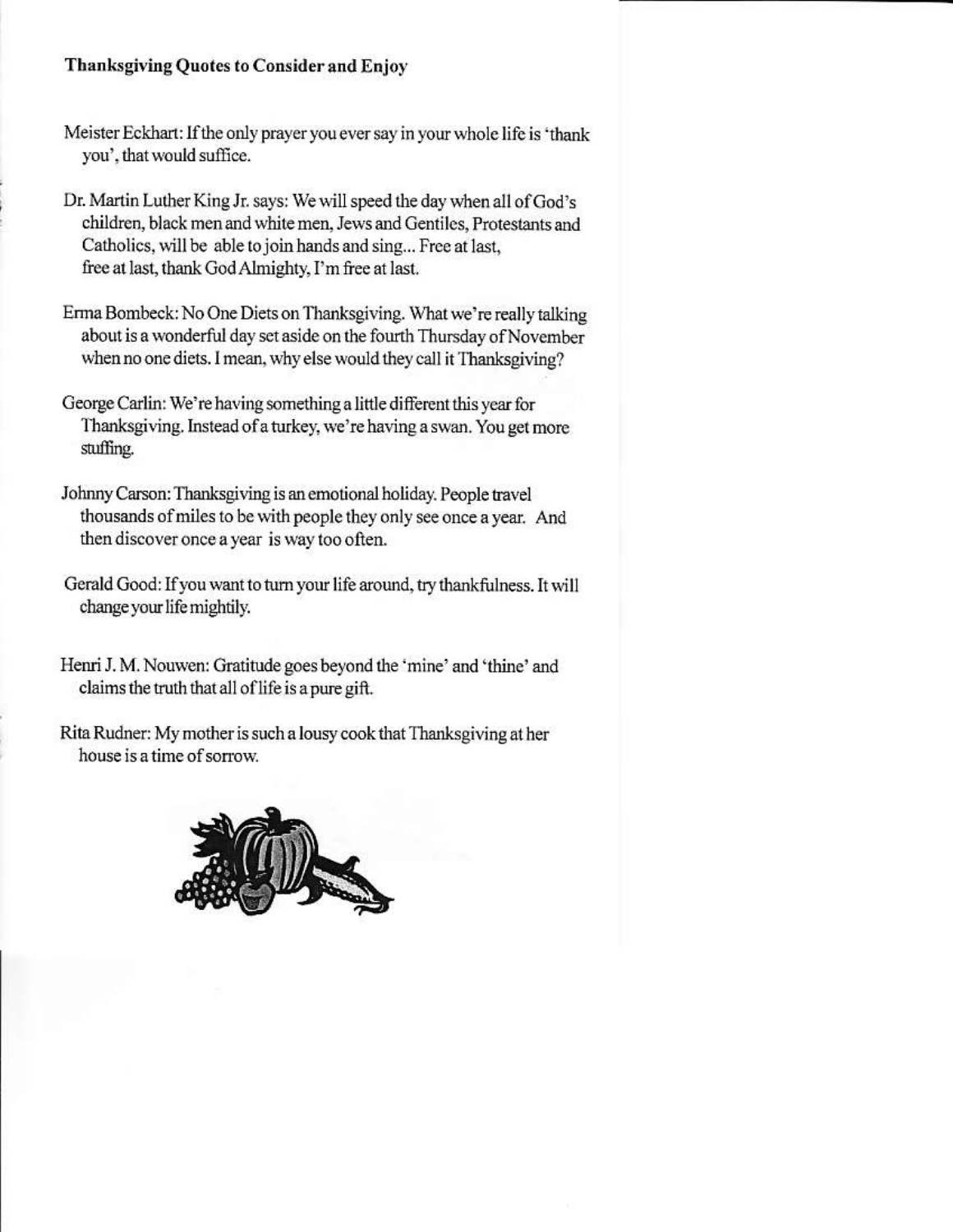### Thanksgiving Quotes to Consider and Enjoy

- Meister Eckhart: If the only prayer you ever say in your whole life is 'thank' you', that would suffice.
- Dr. Martin Luther King Jr. says: We will speed the day when all of God's children, black men and white men, Jews and Gentiles, Protestants and Catholics, will be able to join hands and sing... Free at last, free at last, thank God Almighty, I'm free at last.
- Erma Bombeck: No One Diets on Thanksgiving. What we're really talking about is a wonderful day set aside on the fourth Thursday of November when no one diets. I mean, why else would they call it Thanksgiving?
- George Carlin: We're having something a little different this year for Thanksgiving. Instead of a turkey, we're having a swan. You get more stuffing.
- Johnny Carson: Thanksgiving is an emotional holiday. People travel thousands of miles to be with people they only see once a year. And then discover once a year is way too often.
- Gerald Good: If you want to turn your life around, try thankfulness. It will change your life mightily.
- Henri J. M. Nouwen: Gratitude goes beyond the 'mine' and 'thine' and claims the truth that all of life is a pure gift.
- Rita Rudner: My mother is such a lousy cook that Thanksgiving at her house is a time of sorrow.

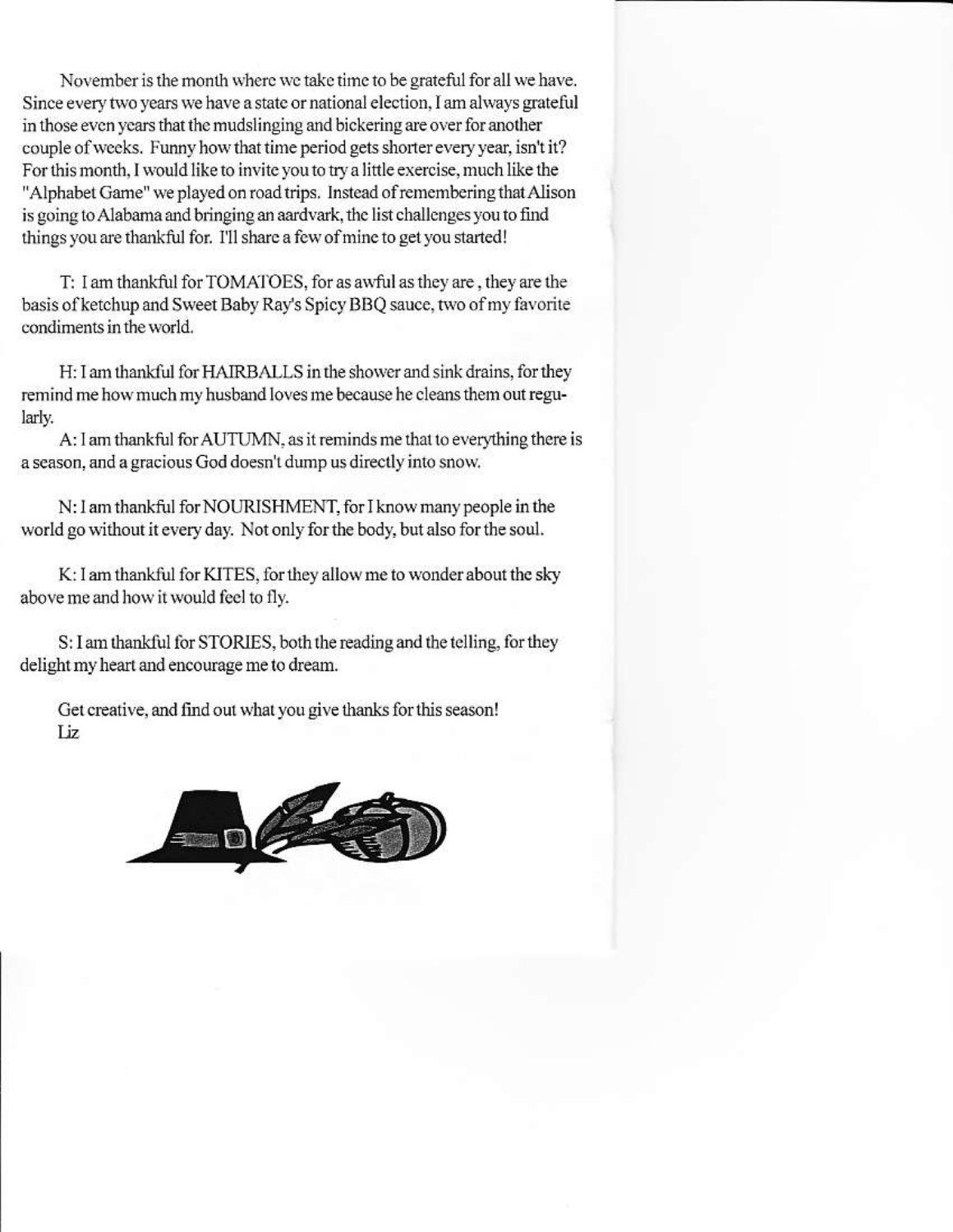November is the month where we take time to be grateful for all we have. Since every two years we have a state or national election, I am always grateful in those even years that the mudslinging and bickering are over for another couple of weeks. Funny how that time period gets shorter every year, isn't it? For this month, I would like to invite you to try a little exercise, much like the "Alphabet Game" we played on road trips. Instead of remembering that Alison is going to Alabama and bringing an aardvark, the list challenges you to find things you are thankful for. I'll share a few of mine to get you started!

T: I am thankful for TOMATOES, for as awful as they are, they are the basis of ketchup and Sweet Baby Ray's Spicy BBQ sauce, two of my favorite condiments in the world.

H: I am thankful for HAIRBALLS in the shower and sink drains, for they remind me how much my husband loves me because he cleans them out regularly.

A: I am thankful for AUTUMN, as it reminds me that to everything there is a season, and a gracious God doesn't dump us directly into snow.

N: I am thankful for NOURISHMENT, for I know many people in the world go without it every day. Not only for the body, but also for the soul.

K: I am thankful for KITES, for they allow me to wonder about the sky above me and how it would feel to fly.

S: I am thankful for STORIES, both the reading and the telling, for they delight my heart and encourage me to dream.

Get creative, and find out what you give thanks for this season! Liz.

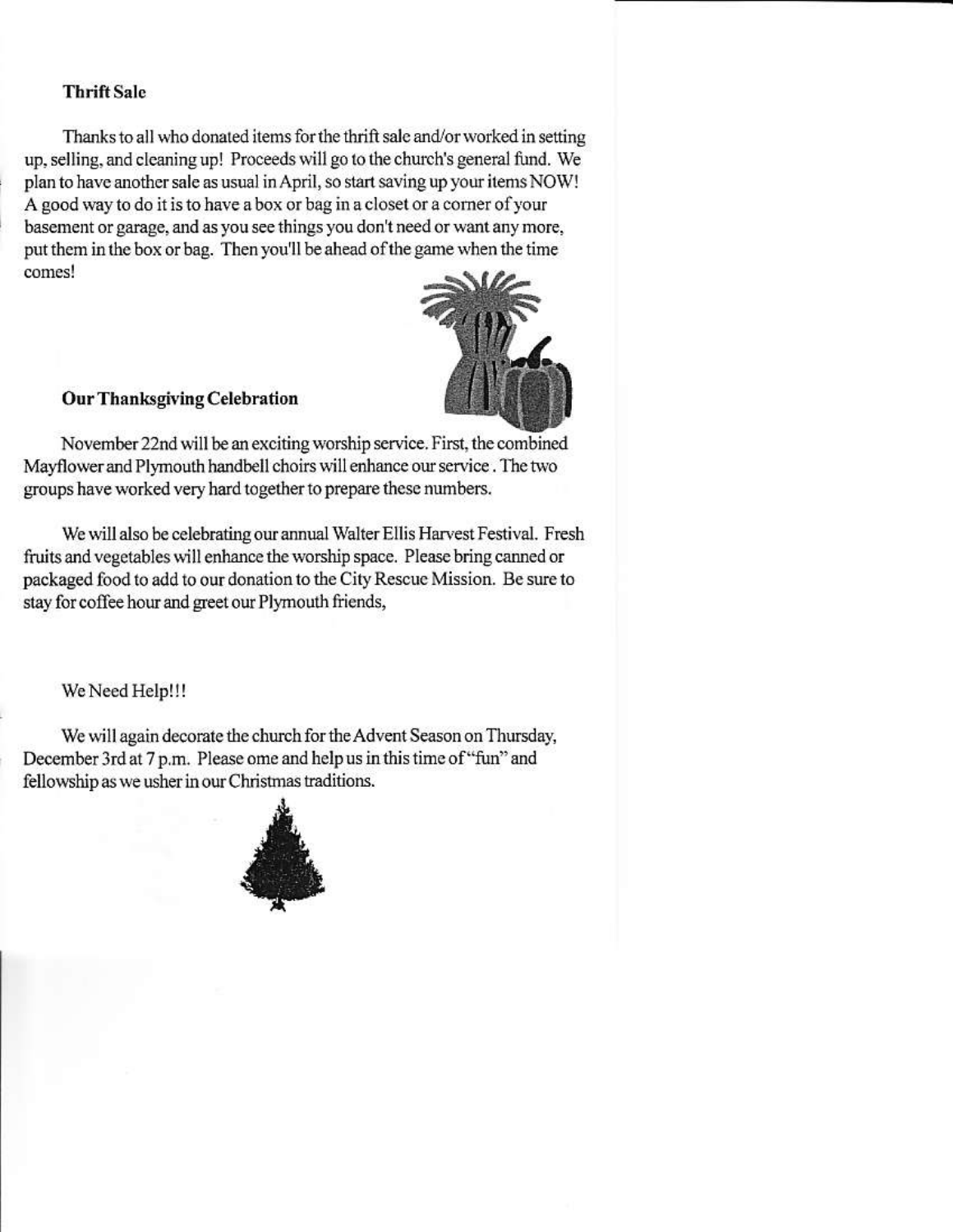#### **Thrift Sale**

Thanks to all who donated items for the thrift sale and/or worked in setting up, selling, and cleaning up! Proceeds will go to the church's general fund. We plan to have another sale as usual in April, so start saving up your items NOW! A good way to do it is to have a box or bag in a closet or a corner of your basement or garage, and as you see things you don't need or want any more. put them in the box or bag. Then you'll be ahead of the game when the time comes!

#### **Our Thanksgiving Celebration**

November 22nd will be an exciting worship service. First, the combined Mayflower and Plymouth handbell choirs will enhance our service. The two groups have worked very hard together to prepare these numbers.

We will also be celebrating our annual Walter Ellis Harvest Festival. Fresh fruits and vegetables will enhance the worship space. Please bring canned or packaged food to add to our donation to the City Rescue Mission. Be sure to stay for coffee hour and greet our Plymouth friends,

#### We Need Help!!!

We will again decorate the church for the Advent Season on Thursday, December 3rd at 7 p.m. Please ome and help us in this time of "fun" and fellowship as we usher in our Christmas traditions.

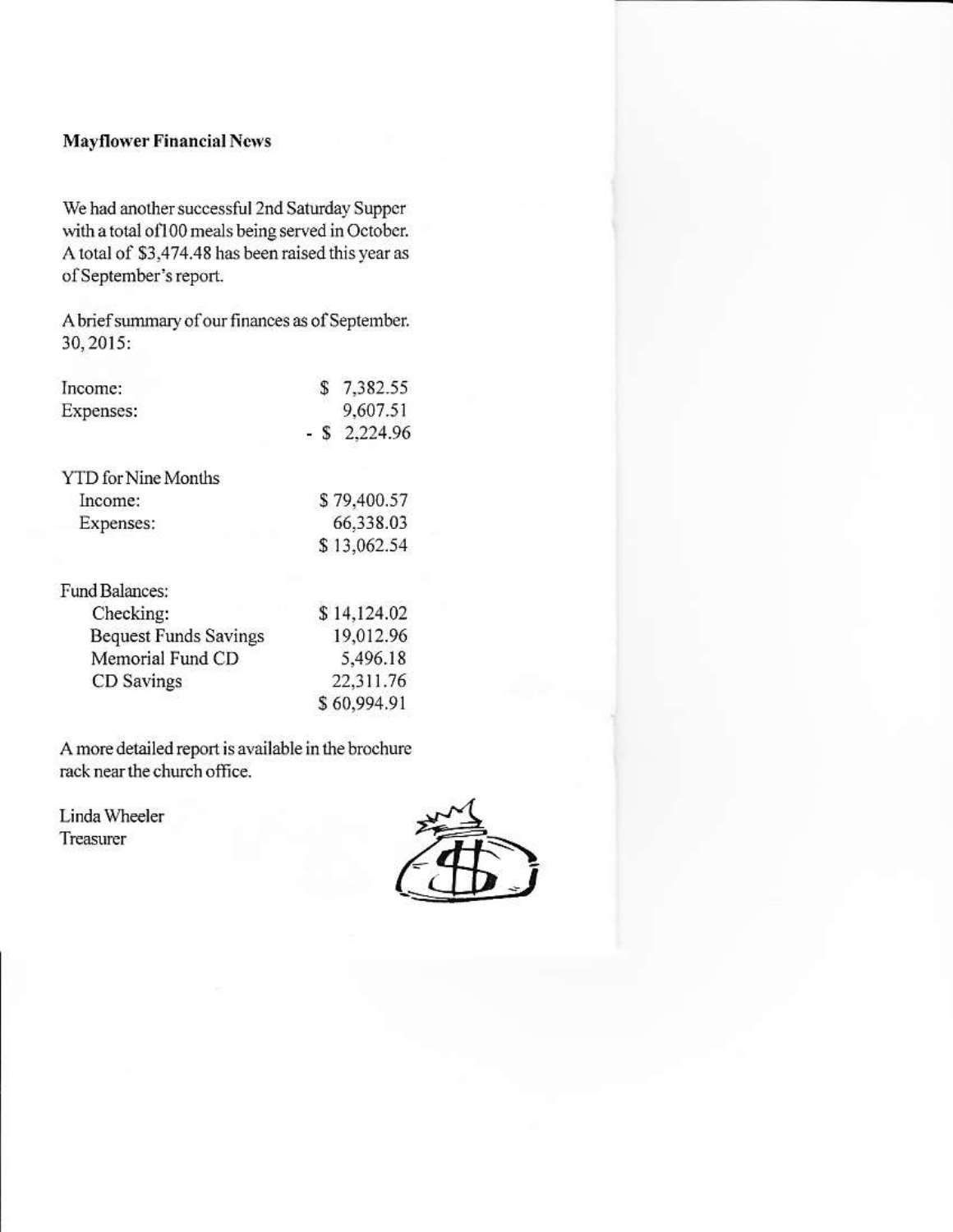#### **Mayflower Financial News**

We had another successful 2nd Saturday Supper with a total of 100 meals being served in October. A total of \$3,474.48 has been raised this year as of September's report.

A brief summary of our finances as of September. 30, 2015:

| Income:                    | 7,382.55    |
|----------------------------|-------------|
| Expenses:                  | 9,607.51    |
|                            | 2,224.96    |
| <b>YTD</b> for Nine Months |             |
| Income:                    | \$79,400.57 |
| Expenses:                  | 66,338.03   |
|                            | \$13,062.54 |
| Fund Balances:             |             |
| Checking:                  | \$14,124.02 |
| Request Funds Savings      | 19 012 96   |

| <b>Bequest Funds Savings</b> | 19,012.96   |
|------------------------------|-------------|
| Memorial Fund CD             | 5,496.18    |
| CD Savings                   | 22,311.76   |
|                              | \$60,994.91 |

A more detailed report is available in the brochure rack near the church office.

Linda Wheeler Treasurer